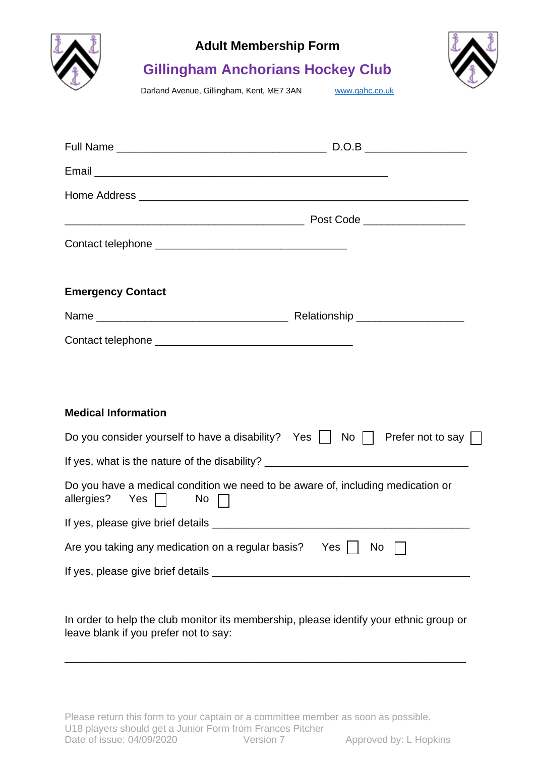

## **Adult Membership Form**



## **Gillingham Anchorians Hockey Club**

Darland Avenue, Gillingham, Kent, ME7 3AN [www.gahc.co.uk](http://www.gahc.co.uk/)

| <b>Emergency Contact</b>                                                                                                            |  |  |  |  |
|-------------------------------------------------------------------------------------------------------------------------------------|--|--|--|--|
|                                                                                                                                     |  |  |  |  |
|                                                                                                                                     |  |  |  |  |
|                                                                                                                                     |  |  |  |  |
|                                                                                                                                     |  |  |  |  |
| <b>Medical Information</b>                                                                                                          |  |  |  |  |
| Do you consider yourself to have a disability? Yes $\vert \cdot \vert$ No $\vert \cdot \vert$ Prefer not to say $\vert \cdot \vert$ |  |  |  |  |
| If yes, what is the nature of the disability? __________________________________                                                    |  |  |  |  |
| Do you have a medical condition we need to be aware of, including medication or<br>allergies? Yes    <br>No $\Box$                  |  |  |  |  |
|                                                                                                                                     |  |  |  |  |
| Are you taking any medication on a regular basis? Yes     No                                                                        |  |  |  |  |
|                                                                                                                                     |  |  |  |  |

In order to help the club monitor its membership, please identify your ethnic group or leave blank if you prefer not to say:

\_\_\_\_\_\_\_\_\_\_\_\_\_\_\_\_\_\_\_\_\_\_\_\_\_\_\_\_\_\_\_\_\_\_\_\_\_\_\_\_\_\_\_\_\_\_\_\_\_\_\_\_\_\_\_\_\_\_\_\_\_\_\_\_\_\_\_